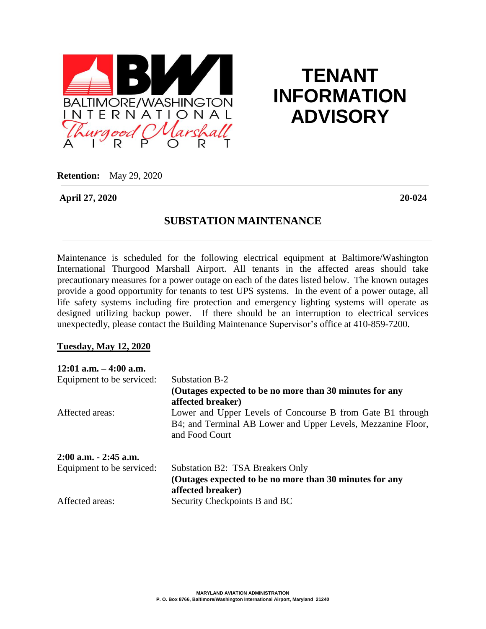

## **TENANT INFORMATION ADVISORY**

**Retention:** May 29, 2020

**April 27, 2020 20-024**

## **SUBSTATION MAINTENANCE**

Maintenance is scheduled for the following electrical equipment at Baltimore/Washington International Thurgood Marshall Airport. All tenants in the affected areas should take precautionary measures for a power outage on each of the dates listed below. The known outages provide a good opportunity for tenants to test UPS systems. In the event of a power outage, all life safety systems including fire protection and emergency lighting systems will operate as designed utilizing backup power. If there should be an interruption to electrical services unexpectedly, please contact the Building Maintenance Supervisor's office at 410-859-7200.

## **Tuesday, May 12, 2020**

| $12:01$ a.m. $-4:00$ a.m.                    |                                                                                                                                              |
|----------------------------------------------|----------------------------------------------------------------------------------------------------------------------------------------------|
| Equipment to be serviced:<br>Affected areas: | Substation B-2                                                                                                                               |
|                                              | (Outages expected to be no more than 30 minutes for any<br>affected breaker)                                                                 |
|                                              | Lower and Upper Levels of Concourse B from Gate B1 through<br>B4; and Terminal AB Lower and Upper Levels, Mezzanine Floor,<br>and Food Court |
| $2:00$ a.m. $-2:45$ a.m.                     |                                                                                                                                              |
| Equipment to be serviced:                    | Substation B2: TSA Breakers Only                                                                                                             |
|                                              | (Outages expected to be no more than 30 minutes for any<br>affected breaker)                                                                 |
| Affected areas:                              | Security Checkpoints B and BC                                                                                                                |